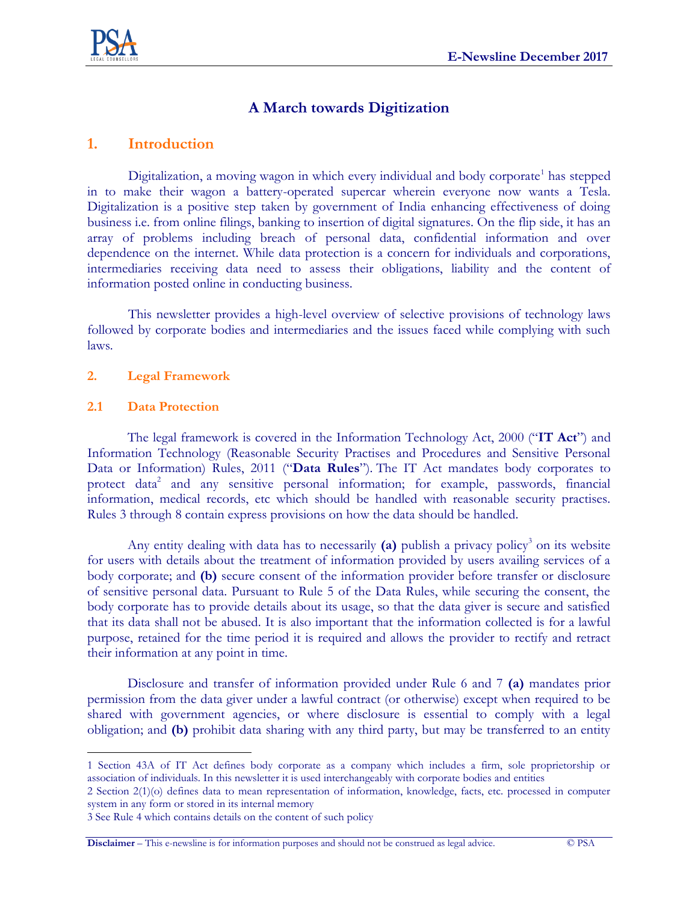

# **A March towards Digitization**

# **1. Introduction**

Digitalization, a moving wagon in which every individual and body corporate<sup>1</sup> has stepped in to make their wagon a battery-operated supercar wherein everyone now wants a Tesla. Digitalization is a positive step taken by government of India enhancing effectiveness of doing business i.e. from online filings, banking to insertion of digital signatures. On the flip side, it has an array of problems including breach of personal data, confidential information and over dependence on the internet. While data protection is a concern for individuals and corporations, intermediaries receiving data need to assess their obligations, liability and the content of information posted online in conducting business.

This newsletter provides a high-level overview of selective provisions of technology laws followed by corporate bodies and intermediaries and the issues faced while complying with such laws.

### **2. Legal Framework**

#### **2.1 Data Protection**

 $\overline{a}$ 

The legal framework is covered in the Information Technology Act, 2000 ("**IT Act**") and Information Technology (Reasonable Security Practises and Procedures and Sensitive Personal Data or Information) Rules, 2011 ("**Data Rules**"). The IT Act mandates body corporates to protect data<sup>2</sup> and any sensitive personal information; for example, passwords, financial information, medical records, etc which should be handled with reasonable security practises. Rules 3 through 8 contain express provisions on how the data should be handled.

Any entity dealing with data has to necessarily (a) publish a privacy policy<sup>3</sup> on its website for users with details about the treatment of information provided by users availing services of a body corporate; and **(b)** secure consent of the information provider before transfer or disclosure of sensitive personal data. Pursuant to Rule 5 of the Data Rules, while securing the consent, the body corporate has to provide details about its usage, so that the data giver is secure and satisfied that its data shall not be abused. It is also important that the information collected is for a lawful purpose, retained for the time period it is required and allows the provider to rectify and retract their information at any point in time.

Disclosure and transfer of information provided under Rule 6 and 7 **(a)** mandates prior permission from the data giver under a lawful contract (or otherwise) except when required to be shared with government agencies, or where disclosure is essential to comply with a legal obligation; and **(b)** prohibit data sharing with any third party, but may be transferred to an entity

<sup>1</sup> Section 43A of IT Act defines body corporate as a company which includes a firm, sole proprietorship or association of individuals. In this newsletter it is used interchangeably with corporate bodies and entities

<sup>2</sup> Section 2(1)(o) defines data to mean representation of information, knowledge, facts, etc. processed in computer system in any form or stored in its internal memory

<sup>3</sup> See Rule 4 which contains details on the content of such policy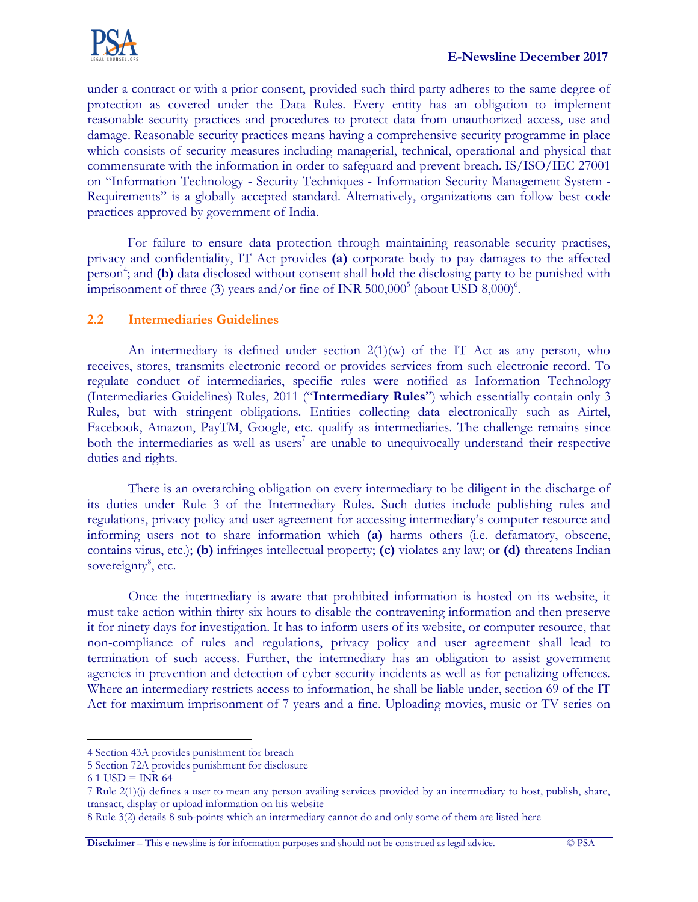

under a contract or with a prior consent, provided such third party adheres to the same degree of protection as covered under the Data Rules. Every entity has an obligation to implement reasonable security practices and procedures to protect data from unauthorized access, use and damage. Reasonable security practices means having a comprehensive security programme in place which consists of security measures including managerial, technical, operational and physical that commensurate with the information in order to safeguard and prevent breach. IS/ISO/IEC 27001 on "Information Technology - Security Techniques - Information Security Management System - Requirements" is a globally accepted standard. Alternatively, organizations can follow best code practices approved by government of India.

For failure to ensure data protection through maintaining reasonable security practises, privacy and confidentiality, IT Act provides **(a)** corporate body to pay damages to the affected person<sup>4</sup>; and (b) data disclosed without consent shall hold the disclosing party to be punished with imprisonment of three (3) years and/or fine of INR  $500,000^5$  (about USD  $8,000$ )<sup>6</sup>.

# **2.2 Intermediaries Guidelines**

An intermediary is defined under section  $2(1)(w)$  of the IT Act as any person, who receives, stores, transmits electronic record or provides services from such electronic record. To regulate conduct of intermediaries, specific rules were notified as Information Technology (Intermediaries Guidelines) Rules, 2011 ("**Intermediary Rules**") which essentially contain only 3 Rules, but with stringent obligations. Entities collecting data electronically such as Airtel, Facebook, Amazon, PayTM, Google, etc. qualify as intermediaries. The challenge remains since both the intermediaries as well as users<sup>7</sup> are unable to unequivocally understand their respective duties and rights.

There is an overarching obligation on every intermediary to be diligent in the discharge of its duties under Rule 3 of the Intermediary Rules. Such duties include publishing rules and regulations, privacy policy and user agreement for accessing intermediary's computer resource and informing users not to share information which **(a)** harms others (i.e. defamatory, obscene, contains virus, etc.); **(b)** infringes intellectual property; **(c)** violates any law; or **(d)** threatens Indian sovereignty<sup>8</sup>, etc.

Once the intermediary is aware that prohibited information is hosted on its website, it must take action within thirty-six hours to disable the contravening information and then preserve it for ninety days for investigation. It has to inform users of its website, or computer resource, that non-compliance of rules and regulations, privacy policy and user agreement shall lead to termination of such access. Further, the intermediary has an obligation to assist government agencies in prevention and detection of cyber security incidents as well as for penalizing offences. Where an intermediary restricts access to information, he shall be liable under, section 69 of the IT Act for maximum imprisonment of 7 years and a fine. Uploading movies, music or TV series on

 $\overline{a}$ 

**Disclaimer** – This e-newsline is for information purposes and should not be construed as legal advice. © PSA

<sup>4</sup> Section 43A provides punishment for breach

<sup>5</sup> Section 72A provides punishment for disclosure

 $61$  USD = INR 64

<sup>7</sup> Rule 2(1)(j) defines a user to mean any person availing services provided by an intermediary to host, publish, share, transact, display or upload information on his website

<sup>8</sup> Rule 3(2) details 8 sub-points which an intermediary cannot do and only some of them are listed here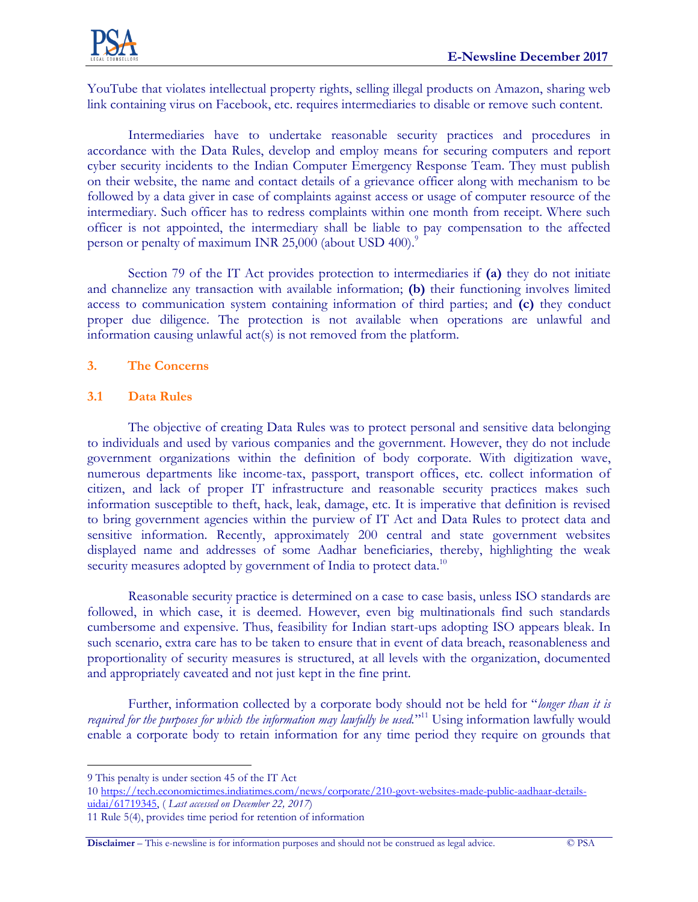

YouTube that violates intellectual property rights, selling illegal products on Amazon, sharing web link containing virus on Facebook, etc. requires intermediaries to disable or remove such content.

Intermediaries have to undertake reasonable security practices and procedures in accordance with the Data Rules, develop and employ means for securing computers and report cyber security incidents to the Indian Computer Emergency Response Team. They must publish on their website, the name and contact details of a grievance officer along with mechanism to be followed by a data giver in case of complaints against access or usage of computer resource of the intermediary. Such officer has to redress complaints within one month from receipt. Where such officer is not appointed, the intermediary shall be liable to pay compensation to the affected person or penalty of maximum INR 25,000 (about USD 400).<sup>9</sup>

Section 79 of the IT Act provides protection to intermediaries if **(a)** they do not initiate and channelize any transaction with available information; **(b)** their functioning involves limited access to communication system containing information of third parties; and **(c)** they conduct proper due diligence. The protection is not available when operations are unlawful and information causing unlawful act(s) is not removed from the platform.

### **3. The Concerns**

### **3.1 Data Rules**

The objective of creating Data Rules was to protect personal and sensitive data belonging to individuals and used by various companies and the government. However, they do not include government organizations within the definition of body corporate. With digitization wave, numerous departments like income-tax, passport, transport offices, etc. collect information of citizen, and lack of proper IT infrastructure and reasonable security practices makes such information susceptible to theft, hack, leak, damage, etc. It is imperative that definition is revised to bring government agencies within the purview of IT Act and Data Rules to protect data and sensitive information. Recently, approximately 200 central and state government websites displayed name and addresses of some Aadhar beneficiaries, thereby, highlighting the weak security measures adopted by government of India to protect data.<sup>10</sup>

Reasonable security practice is determined on a case to case basis, unless ISO standards are followed, in which case, it is deemed. However, even big multinationals find such standards cumbersome and expensive. Thus, feasibility for Indian start-ups adopting ISO appears bleak. In such scenario, extra care has to be taken to ensure that in event of data breach, reasonableness and proportionality of security measures is structured, at all levels with the organization, documented and appropriately caveated and not just kept in the fine print.

Further, information collected by a corporate body should not be held for "*longer than it is required for the purposes for which the information may lawfully be used.*" <sup>11</sup> Using information lawfully would enable a corporate body to retain information for any time period they require on grounds that

 $\overline{a}$ 

**Disclaimer** – This e-newsline is for information purposes and should not be construed as legal advice. © PSA

<sup>9</sup> This penalty is under section 45 of the IT Act

<sup>10</sup> [https://tech.economictimes.indiatimes.com/news/corporate/210-govt-websites-made-public-aadhaar-details](https://tech.economictimes.indiatimes.com/news/corporate/210-govt-websites-made-public-aadhaar-details-uidai/61719345)[uidai/61719345,](https://tech.economictimes.indiatimes.com/news/corporate/210-govt-websites-made-public-aadhaar-details-uidai/61719345) ( *Last accessed on December 22, 2017*)

<sup>11</sup> Rule 5(4), provides time period for retention of information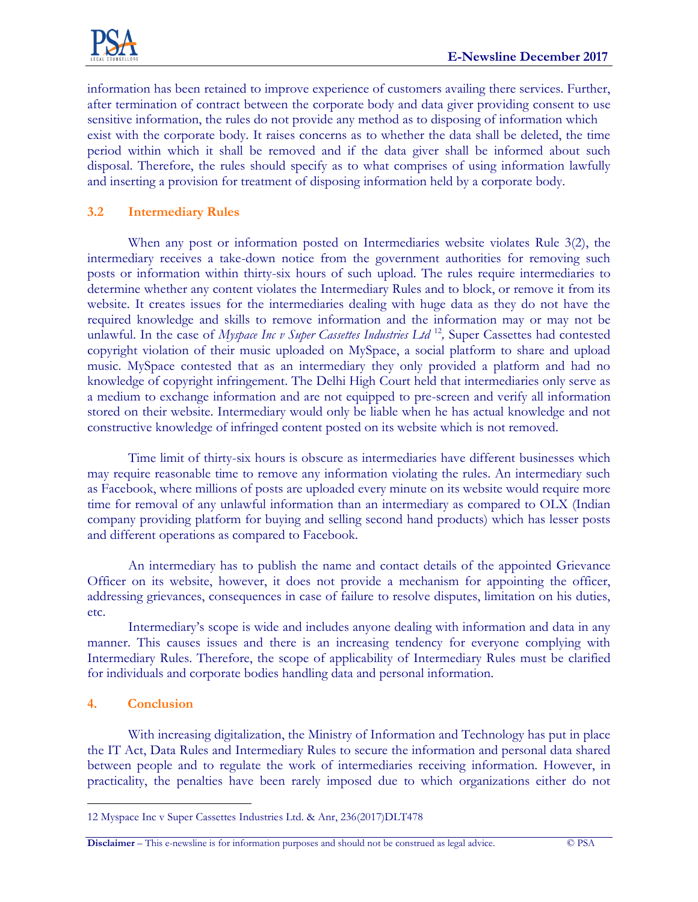

information has been retained to improve experience of customers availing there services. Further, after termination of contract between the corporate body and data giver providing consent to use sensitive information, the rules do not provide any method as to disposing of information which exist with the corporate body. It raises concerns as to whether the data shall be deleted, the time period within which it shall be removed and if the data giver shall be informed about such disposal. Therefore, the rules should specify as to what comprises of using information lawfully and inserting a provision for treatment of disposing information held by a corporate body.

### **3.2 Intermediary Rules**

When any post or information posted on Intermediaries website violates Rule 3(2), the intermediary receives a take-down notice from the government authorities for removing such posts or information within thirty-six hours of such upload. The rules require intermediaries to determine whether any content violates the Intermediary Rules and to block, or remove it from its website. It creates issues for the intermediaries dealing with huge data as they do not have the required knowledge and skills to remove information and the information may or may not be unlawful. In the case of *Myspace Inc v Super Cassettes Industries Ltd*<sup>12</sup>, Super Cassettes had contested copyright violation of their music uploaded on MySpace, a social platform to share and upload music. MySpace contested that as an intermediary they only provided a platform and had no knowledge of copyright infringement. The Delhi High Court held that intermediaries only serve as a medium to exchange information and are not equipped to pre-screen and verify all information stored on their website. Intermediary would only be liable when he has actual knowledge and not constructive knowledge of infringed content posted on its website which is not removed.

Time limit of thirty-six hours is obscure as intermediaries have different businesses which may require reasonable time to remove any information violating the rules. An intermediary such as Facebook, where millions of posts are uploaded every minute on its website would require more time for removal of any unlawful information than an intermediary as compared to OLX (Indian company providing platform for buying and selling second hand products) which has lesser posts and different operations as compared to Facebook.

An intermediary has to publish the name and contact details of the appointed Grievance Officer on its website, however, it does not provide a mechanism for appointing the officer, addressing grievances, consequences in case of failure to resolve disputes, limitation on his duties, etc.

Intermediary's scope is wide and includes anyone dealing with information and data in any manner. This causes issues and there is an increasing tendency for everyone complying with Intermediary Rules. Therefore, the scope of applicability of Intermediary Rules must be clarified for individuals and corporate bodies handling data and personal information.

### **4. Conclusion**

With increasing digitalization, the Ministry of Information and Technology has put in place the IT Act, Data Rules and Intermediary Rules to secure the information and personal data shared between people and to regulate the work of intermediaries receiving information. However, in practicality, the penalties have been rarely imposed due to which organizations either do not

 $\overline{a}$ 12 Myspace Inc v Super Cassettes Industries Ltd. & Anr, 236(2017)DLT478